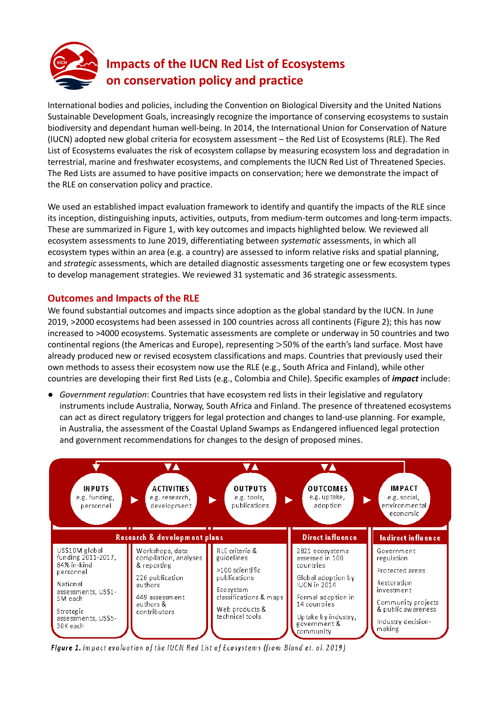

## **Impacts of the IUCN Red List of Ecosystems on conservation policy and practice**

International bodies and policies, including the Convention on Biological Diversity and the United Nations Sustainable Development Goals, increasingly recognize the importance of conserving ecosystems to sustain biodiversity and dependant human well-being. In 2014, the International Union for Conservation of Nature (IUCN) adopted new global criteria for ecosystem assessment – the Red List of Ecosystems (RLE). The Red List of Ecosystems evaluates the risk of ecosystem collapse by measuring ecosystem loss and degradation in terrestrial, marine and freshwater ecosystems, and complements the IUCN Red List of Threatened Species. The Red Lists are assumed to have positive impacts on conservation; here we demonstrate the impact of the RLE on conservation policy and practice.

We used an established impact evaluation framework to identify and quantify the impacts of the RLE since its inception, distinguishing inputs, activities, outputs, from medium-term outcomes and long-term impacts. These are summarized in Figure 1, with key outcomes and impacts highlighted below. We reviewed all ecosystem assessments to June 2019, differentiating between *systematic* assessments, in which all ecosystem types within an area (e.g. a country) are assessed to inform relative risks and spatial planning, and *strategic* assessments, which are detailed diagnostic assessments targeting one or few ecosystem types to develop management strategies. We reviewed 31 systematic and 36 strategic assessments.

## **Outcomes and Impacts of the RLE**

We found substantial outcomes and impacts since adoption as the global standard by the IUCN. In June 2019, >2000 ecosystems had been assessed in 100 countries across all continents (Figure 2); this has now increased to >4000 ecosystems. Systematic assessments are complete or underway in 50 countries and two continental regions (the Americas and Europe), representing >50% of the earth's land surface. Most have already produced new or revised ecosystem classifications and maps. Countries that previously used their own methods to assess their ecosystem now use the RLE (e.g., South Africa and Finland), while other countries are developing their first Red Lists (e.g., Colombia and Chile). Specific examples of *impact* include:

● *Government regulation*: Countries that have ecosystem red lists in their legislative and regulatory instruments include Australia, Norway, South Africa and Finland. The presence of threatened ecosystems can act as direct regulatory triggers for legal protection and changes to land-use planning. For example, in Australia, the assessment of the Coastal Upland Swamps as Endangered influenced legal protection and government recommendations for changes to the design of proposed mines.



Figure 1. Impact evaluation of the IUCN Red List of Ecosystems (from Bland et. al. 2019)